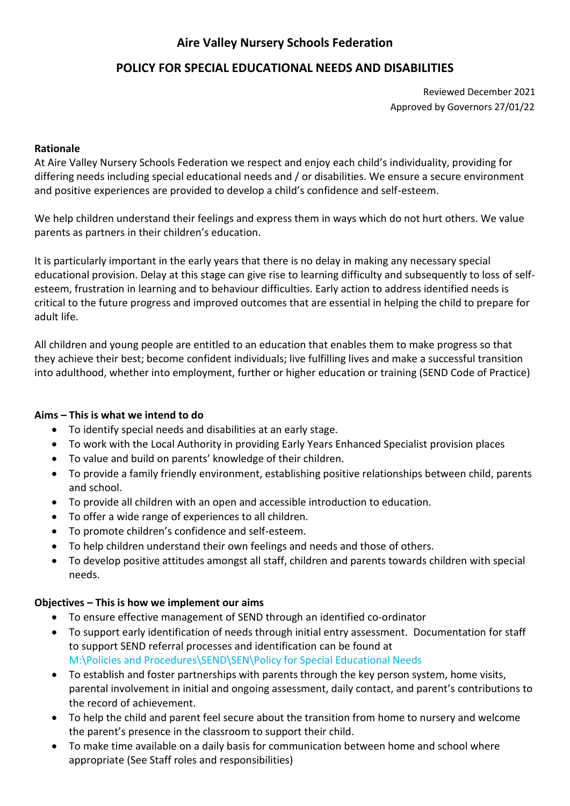# **Aire Valley Nursery Schools Federation**

# **POLICY FOR SPECIAL EDUCATIONAL NEEDS AND DISABILITIES**

Reviewed December 2021 Approved by Governors 27/01/22

### **Rationale**

At Aire Valley Nursery Schools Federation we respect and enjoy each child's individuality, providing for differing needs including special educational needs and / or disabilities. We ensure a secure environment and positive experiences are provided to develop a child's confidence and self-esteem.

We help children understand their feelings and express them in ways which do not hurt others. We value parents as partners in their children's education.

It is particularly important in the early years that there is no delay in making any necessary special educational provision. Delay at this stage can give rise to learning difficulty and subsequently to loss of selfesteem, frustration in learning and to behaviour difficulties. Early action to address identified needs is critical to the future progress and improved outcomes that are essential in helping the child to prepare for adult life.

All children and young people are entitled to an education that enables them to make progress so that they achieve their best; become confident individuals; live fulfilling lives and make a successful transition into adulthood, whether into employment, further or higher education or training (SEND Code of Practice)

# **Aims – This is what we intend to do**

- To identify special needs and disabilities at an early stage.
- To work with the Local Authority in providing Early Years Enhanced Specialist provision places
- To value and build on parents' knowledge of their children.
- To provide a family friendly environment, establishing positive relationships between child, parents and school.
- To provide all children with an open and accessible introduction to education.
- To offer a wide range of experiences to all children.
- To promote children's confidence and self-esteem.
- To help children understand their own feelings and needs and those of others.
- To develop positive attitudes amongst all staff, children and parents towards children with special needs.

# **Objectives – This is how we implement our aims**

- To ensure effective management of SEND through an identified co-ordinator
- To support early identification of needs through initial entry assessment. Documentation for staff to support SEND referral processes and identification can be found at M:\Policies and Procedures\SEND\SEN\Policy for Special Educational Needs
- To establish and foster partnerships with parents through the key person system, home visits, parental involvement in initial and ongoing assessment, daily contact, and parent's contributions to the record of achievement.
- To help the child and parent feel secure about the transition from home to nursery and welcome the parent's presence in the classroom to support their child.
- To make time available on a daily basis for communication between home and school where appropriate (See Staff roles and responsibilities)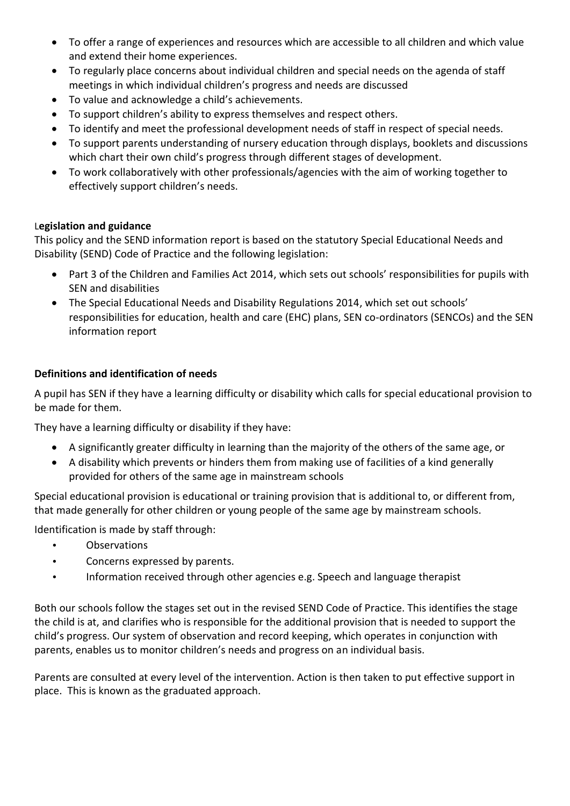- To offer a range of experiences and resources which are accessible to all children and which value and extend their home experiences.
- To regularly place concerns about individual children and special needs on the agenda of staff meetings in which individual children's progress and needs are discussed
- To value and acknowledge a child's achievements.
- To support children's ability to express themselves and respect others.
- To identify and meet the professional development needs of staff in respect of special needs.
- To support parents understanding of nursery education through displays, booklets and discussions which chart their own child's progress through different stages of development.
- To work collaboratively with other professionals/agencies with the aim of working together to effectively support children's needs.

# L**egislation and guidance**

This policy and the SEND information report is based on the statutory [Special Educational Needs and](https://www.gov.uk/government/uploads/system/uploads/attachment_data/file/398815/SEND_Code_of_Practice_January_2015.pdf)  [Disability \(SEND\) Code of Practice](https://www.gov.uk/government/uploads/system/uploads/attachment_data/file/398815/SEND_Code_of_Practice_January_2015.pdf) and the following legislation:

- [Part 3 of the Children and Families Act 2014](http://www.legislation.gov.uk/ukpga/2014/6/part/3), which sets out schools' responsibilities for pupils with SEN and disabilities
- [The Special Educational Needs and Disability Regulations 2014](http://www.legislation.gov.uk/uksi/2014/1530/contents/made), which set out schools' responsibilities for education, health and care (EHC) plans, SEN co-ordinators (SENCOs) and the SEN information report

# **Definitions and identification of needs**

A pupil has SEN if they have a learning difficulty or disability which calls for special educational provision to be made for them.

They have a learning difficulty or disability if they have:

- A significantly greater difficulty in learning than the majority of the others of the same age, or
- A disability which prevents or hinders them from making use of facilities of a kind generally provided for others of the same age in mainstream schools

Special educational provision is educational or training provision that is additional to, or different from, that made generally for other children or young people of the same age by mainstream schools.

Identification is made by staff through:

- Observations
- Concerns expressed by parents.
- Information received through other agencies e.g. Speech and language therapist

Both our schools follow the stages set out in the revised SEND Code of Practice. This identifies the stage the child is at, and clarifies who is responsible for the additional provision that is needed to support the child's progress. Our system of observation and record keeping, which operates in conjunction with parents, enables us to monitor children's needs and progress on an individual basis.

Parents are consulted at every level of the intervention. Action is then taken to put effective support in place. This is known as the graduated approach.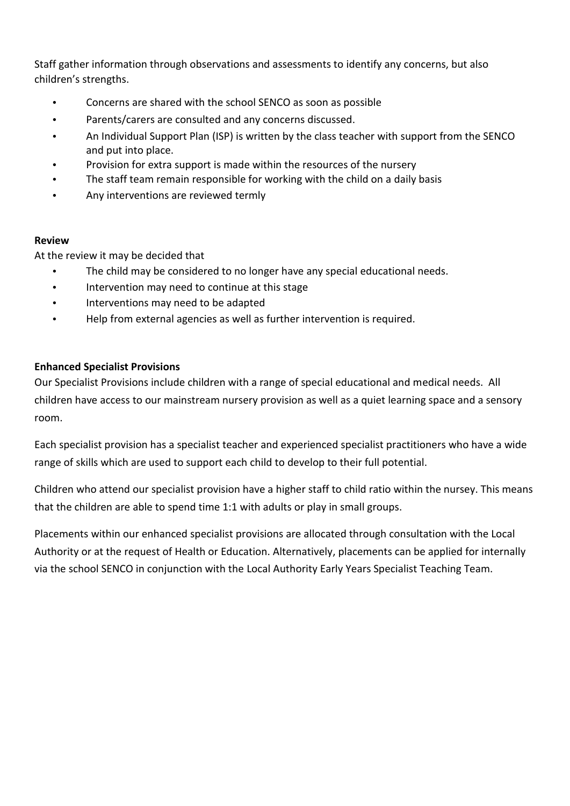Staff gather information through observations and assessments to identify any concerns, but also children's strengths.

- Concerns are shared with the school SENCO as soon as possible
- Parents/carers are consulted and any concerns discussed.
- An Individual Support Plan (ISP) is written by the class teacher with support from the SENCO and put into place.
- Provision for extra support is made within the resources of the nursery
- The staff team remain responsible for working with the child on a daily basis
- Any interventions are reviewed termly

#### **Review**

At the review it may be decided that

- The child may be considered to no longer have any special educational needs.
- Intervention may need to continue at this stage
- Interventions may need to be adapted
- Help from external agencies as well as further intervention is required.

# **Enhanced Specialist Provisions**

Our Specialist Provisions include children with a range of special educational and medical needs. All children have access to our mainstream nursery provision as well as a quiet learning space and a sensory room.

Each specialist provision has a specialist teacher and experienced specialist practitioners who have a wide range of skills which are used to support each child to develop to their full potential.

Children who attend our specialist provision have a higher staff to child ratio within the nursey. This means that the children are able to spend time 1:1 with adults or play in small groups.

Placements within our enhanced specialist provisions are allocated through consultation with the Local Authority or at the request of Health or Education. Alternatively, placements can be applied for internally via the school SENCO in conjunction with the Local Authority Early Years Specialist Teaching Team.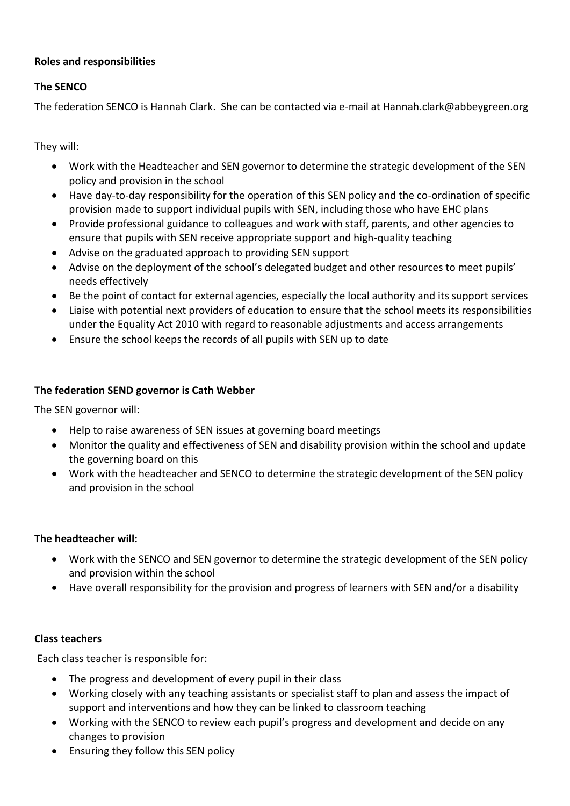# **Roles and responsibilities**

### **The SENCO**

The federation SENCO is Hannah Clark. She can be contacted via e-mail at [Hannah.clark@abbeygreen.org](mailto:Hannah.clark@abbeygreen.org)

They will:

- Work with the Headteacher and SEN governor to determine the strategic development of the SEN policy and provision in the school
- Have day-to-day responsibility for the operation of this SEN policy and the co-ordination of specific provision made to support individual pupils with SEN, including those who have EHC plans
- Provide professional guidance to colleagues and work with staff, parents, and other agencies to ensure that pupils with SEN receive appropriate support and high-quality teaching
- Advise on the graduated approach to providing SEN support
- Advise on the deployment of the school's delegated budget and other resources to meet pupils' needs effectively
- Be the point of contact for external agencies, especially the local authority and its support services
- Liaise with potential next providers of education to ensure that the school meets its responsibilities under the Equality Act 2010 with regard to reasonable adjustments and access arrangements
- Ensure the school keeps the records of all pupils with SEN up to date

#### **The federation SEND governor is Cath Webber**

The SEN governor will:

- Help to raise awareness of SEN issues at governing board meetings
- Monitor the quality and effectiveness of SEN and disability provision within the school and update the governing board on this
- Work with the headteacher and SENCO to determine the strategic development of the SEN policy and provision in the school

#### **The headteacher will:**

- Work with the SENCO and SEN governor to determine the strategic development of the SEN policy and provision within the school
- Have overall responsibility for the provision and progress of learners with SEN and/or a disability

#### **Class teachers**

Each class teacher is responsible for:

- The progress and development of every pupil in their class
- Working closely with any teaching assistants or specialist staff to plan and assess the impact of support and interventions and how they can be linked to classroom teaching
- Working with the SENCO to review each pupil's progress and development and decide on any changes to provision
- Ensuring they follow this SEN policy